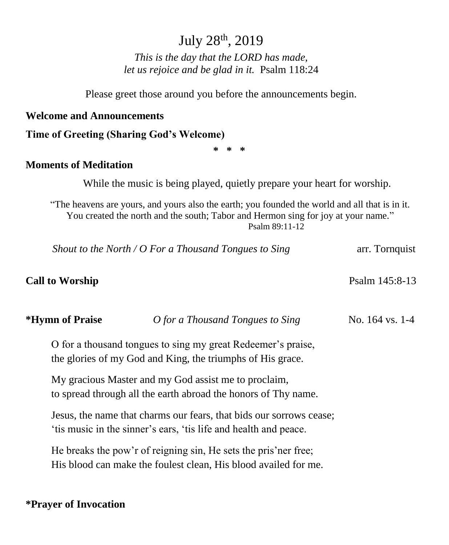## July 28<sup>th</sup>, 2019

*This is the day that the LORD has made, let us rejoice and be glad in it.* Psalm 118:24

Please greet those around you before the announcements begin.

#### **Welcome and Announcements**

#### **Time of Greeting (Sharing God's Welcome)**

**\* \* \***

#### **Moments of Meditation**

While the music is being played, quietly prepare your heart for worship.

"The heavens are yours, and yours also the earth; you founded the world and all that is in it. You created the north and the south; Tabor and Hermon sing for joy at your name." Psalm 89:11-12

| Shout to the North / $O$ For a Thousand Tongues to Sing | arr. Tornquist |
|---------------------------------------------------------|----------------|
|                                                         |                |

#### **Call to Worship** Psalm 145:8-13

| <i><b>*Hymn of Praise</b></i> | O for a Thousand Tongues to Sing                                                                                           | No. 164 vs. 1-4 |
|-------------------------------|----------------------------------------------------------------------------------------------------------------------------|-----------------|
|                               | O for a thousand tongues to sing my great Redeemer's praise,<br>the glories of my God and King, the triumphs of His grace. |                 |
|                               | My gracious Master and my God assist me to proclaim,<br>to spread through all the earth abroad the honors of Thy name.     |                 |

Jesus, the name that charms our fears, that bids our sorrows cease; 'tis music in the sinner's ears, 'tis life and health and peace.

He breaks the pow'r of reigning sin, He sets the pris'ner free; His blood can make the foulest clean, His blood availed for me.

#### **\*Prayer of Invocation**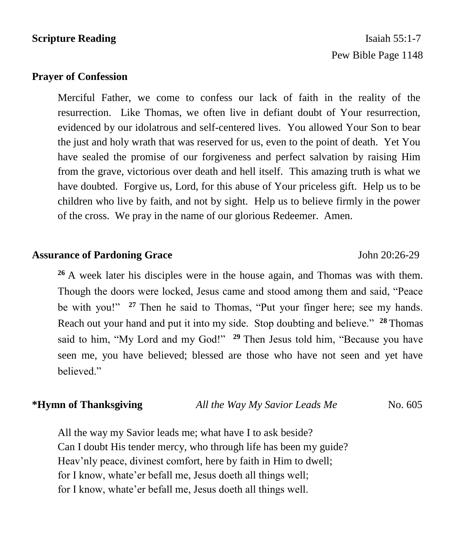#### **Scripture Reading Isaiah 55:1-7 Isaiah 55:1-7**

# Pew Bible Page 1148

#### **Prayer of Confession**

Merciful Father, we come to confess our lack of faith in the reality of the resurrection. Like Thomas, we often live in defiant doubt of Your resurrection, evidenced by our idolatrous and self-centered lives. You allowed Your Son to bear the just and holy wrath that was reserved for us, even to the point of death. Yet You have sealed the promise of our forgiveness and perfect salvation by raising Him from the grave, victorious over death and hell itself. This amazing truth is what we have doubted. Forgive us, Lord, for this abuse of Your priceless gift. Help us to be children who live by faith, and not by sight. Help us to believe firmly in the power of the cross. We pray in the name of our glorious Redeemer. Amen.

#### **Assurance of Pardoning Grace** John 20:26-29

**<sup>26</sup>** A week later his disciples were in the house again, and Thomas was with them. Though the doors were locked, Jesus came and stood among them and said, "Peace be with you!" **<sup>27</sup>** Then he said to Thomas, "Put your finger here; see my hands. Reach out your hand and put it into my side. Stop doubting and believe." **<sup>28</sup>** Thomas said to him, "My Lord and my God!" <sup>29</sup> Then Jesus told him, "Because you have seen me, you have believed; blessed are those who have not seen and yet have believed."

**\*Hymn of Thanksgiving** *All the Way My Savior Leads Me* No. 605

All the way my Savior leads me; what have I to ask beside? Can I doubt His tender mercy, who through life has been my guide? Heav'nly peace, divinest comfort, here by faith in Him to dwell; for I know, whate'er befall me, Jesus doeth all things well; for I know, whate'er befall me, Jesus doeth all things well.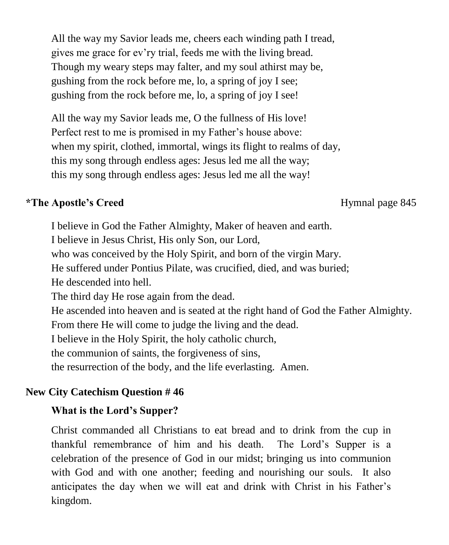All the way my Savior leads me, cheers each winding path I tread, gives me grace for ev'ry trial, feeds me with the living bread. Though my weary steps may falter, and my soul athirst may be, gushing from the rock before me, lo, a spring of joy I see; gushing from the rock before me, lo, a spring of joy I see!

All the way my Savior leads me, O the fullness of His love! Perfect rest to me is promised in my Father's house above: when my spirit, clothed, immortal, wings its flight to realms of day, this my song through endless ages: Jesus led me all the way; this my song through endless ages: Jesus led me all the way!

#### \*The Apostle's Creed Hymnal page 845

I believe in God the Father Almighty, Maker of heaven and earth. I believe in Jesus Christ, His only Son, our Lord, who was conceived by the Holy Spirit, and born of the virgin Mary. He suffered under Pontius Pilate, was crucified, died, and was buried; He descended into hell. The third day He rose again from the dead. He ascended into heaven and is seated at the right hand of God the Father Almighty. From there He will come to judge the living and the dead. I believe in the Holy Spirit, the holy catholic church, the communion of saints, the forgiveness of sins, the resurrection of the body, and the life everlasting. Amen.

### **New City Catechism Question # 46**

### **What is the Lord's Supper?**

Christ commanded all Christians to eat bread and to drink from the cup in thankful remembrance of him and his death. The Lord's Supper is a celebration of the presence of God in our midst; bringing us into communion with God and with one another; feeding and nourishing our souls. It also anticipates the day when we will eat and drink with Christ in his Father's kingdom.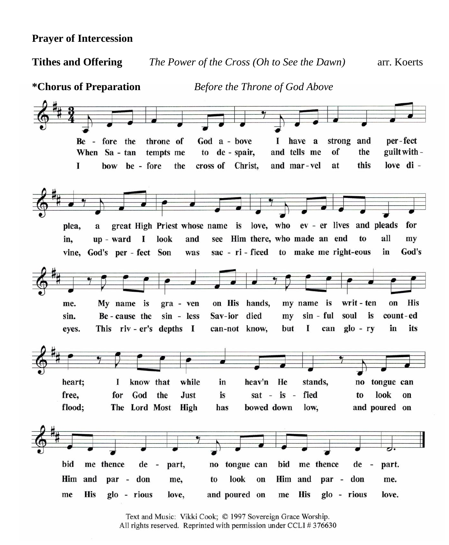**His** 

me

glo - rious

love,

**Tithes and Offering** *The Power of the Cross (Oh to See the Dawn)* arr. Koerts **\*Chorus of Preparation** *Before the Throne of God Above* God a - bove have strong and per-fect Be - fore the throne of Т a of the guilt with -When Sa - tan tempts me to de - spair. and tells me love di -I bow be - fore the cross of Christ. and mar-vel at this ev - er lives and pleads plea,  $\mathbf{a}$ great High Priest whose name is love, who for see Him there, who made an end all in, up - ward  $\mathbf{I}$ look and to  $m$ v sac - ri - ficed to make me right-eous in God's vine. God's per - fect Son was My name is on His hands. my name is writ - ten on **His** me. gra - ven sin. Be - cause the sin - less Sav-ior died  $m$ v sin - ful soul is count-ed This riv - er's depths can-not know, but I can  $g|0 - ry$ in its eyes.  $\mathbf I$ while heav'n He stands, heart; 1 know that in no tongue can free. for God the Just is  $sat - is$ fied to look on flood: The Lord Most High has bowed down low. and poured on bid me thence de  $\sim$ part, no tongue can bid me thence de  $\overline{\phantom{a}}$ part. Him and par don to look on Him and par don me, me.

> Text and Music: Vikki Cook; © 1997 Sovereign Grace Worship. All rights reserved. Reprinted with permission under CCLI #376630

and poured on

me

**His** 

glo - rious

love.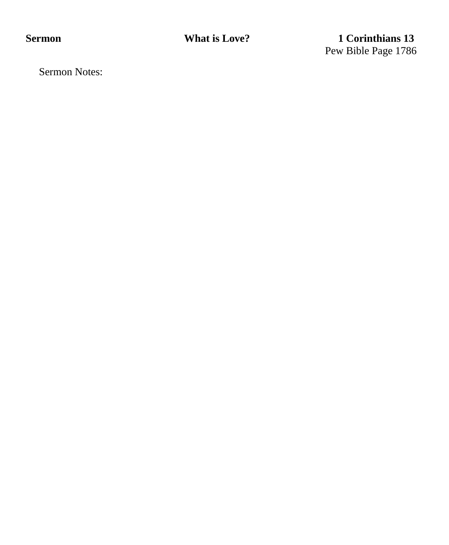**Sermon** What is Love? 1 Corinthians 13 Pew Bible Page 1786

Sermon Notes: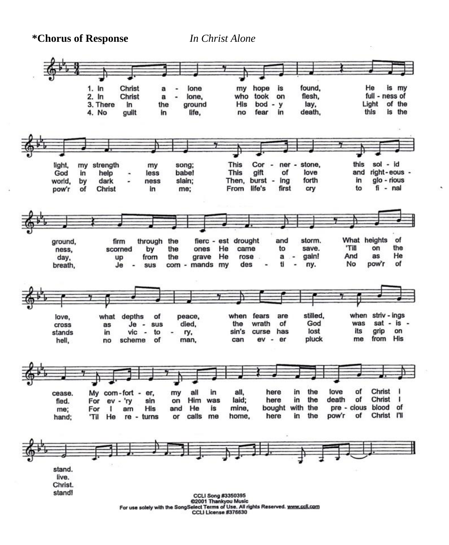**\*Chorus of Response** *In Christ Alone*



CCLI License #376630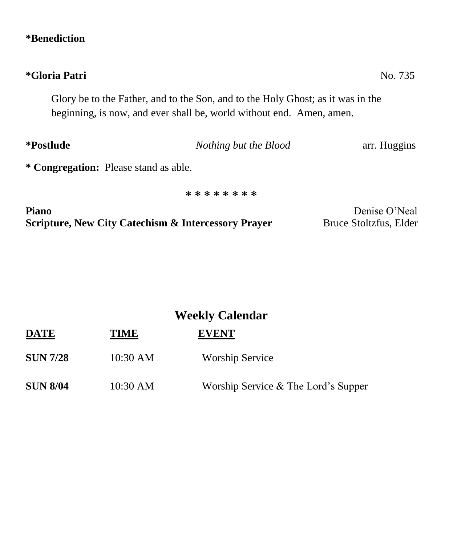### **\*Benediction**

| *Gloria Patri                                                                                                                                           |                       | No. 735      |  |
|---------------------------------------------------------------------------------------------------------------------------------------------------------|-----------------------|--------------|--|
| Glory be to the Father, and to the Son, and to the Holy Ghost; as it was in the<br>beginning, is now, and ever shall be, world without end. Amen, amen. |                       |              |  |
| <i>*Postlude</i>                                                                                                                                        | Nothing but the Blood | arr. Huggins |  |
| * Congregation: Please stand as able.                                                                                                                   |                       |              |  |
| * * * * * * * *                                                                                                                                         |                       |              |  |

**Piano** Denise O'Neal<br>**Scripture, New City Catechism & Intercessory Prayer** Bruce Stoltzfus, Elder **Scripture, New City Catechism & Intercessory Prayer** 

**Weekly Calendar**

| <b>DATE</b>     | <b>TIME</b> | <b>EVENT</b>                        |
|-----------------|-------------|-------------------------------------|
| <b>SUN 7/28</b> | 10:30 AM    | <b>Worship Service</b>              |
| <b>SUN 8/04</b> | 10:30 AM    | Worship Service & The Lord's Supper |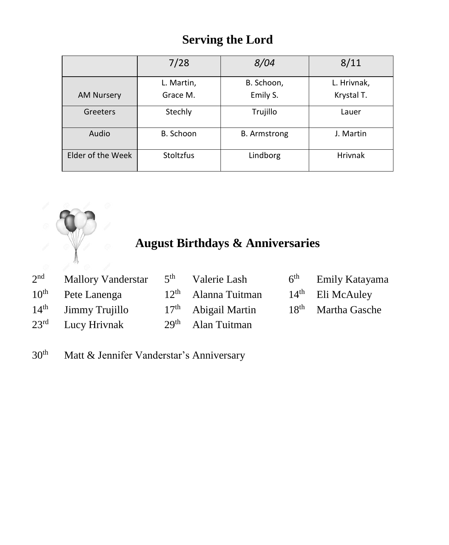# **Serving the Lord**

|                   | 7/28             | 8/04                | 8/11           |
|-------------------|------------------|---------------------|----------------|
|                   | L. Martin,       | B. Schoon,          | L. Hrivnak,    |
| <b>AM Nursery</b> | Grace M.         | Emily S.            | Krystal T.     |
| Greeters          | Stechly          | Trujillo            | Lauer          |
| Audio             | B. Schoon        | <b>B.</b> Armstrong | J. Martin      |
| Elder of the Week | <b>Stoltzfus</b> | Lindborg            | <b>Hrivnak</b> |



| 2 <sup>nd</sup> Mallory Vanderstar | 5 <sup>th</sup> | Valerie Lash          | 6 <sup>th</sup> Emily Katayama |
|------------------------------------|-----------------|-----------------------|--------------------------------|
| $10th$ Pete Lanenga                |                 | $12th$ Alanna Tuitman | $14th$ Eli McAuley             |
| $14th$ Jimmy Trujillo              |                 | $17th$ Abigail Martin | 18 <sup>th</sup> Martha Gasche |
| $23rd$ Lucy Hrivnak                |                 | $29th$ Alan Tuitman   |                                |

30th Matt & Jennifer Vanderstar's Anniversary

 $\mathscr{P}$